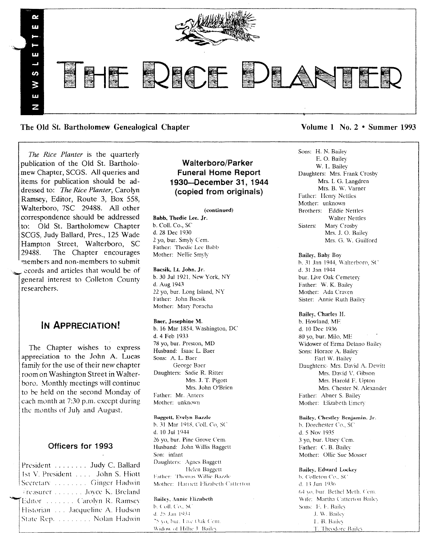

The Old St. Bartholomew Genealogical Chapter Volume 1 No. 2 • Summer 1993

*The Rice Planter* is the quarterly publication of the Old St. Bartholomew Chapter, SCGS. All queries and items for publication should be addressed to: *The Rice Planter*, Carolyn Ramsey, Editor, Route 3, Box 558, Walterboro, 7SC 29488. All other correspondence should be addressed to: Old St. Bartholomew Chapter SCGS, Judy Ballard, Pres., 125 Wade Hampton Street, Walterboro, SC 29488. The Chapter encourages members and non-members to submit ecords and articles that would be of general interest to Colleton Omnty researchers.

# IN ApPRECIATION!

The Chapter wishes to express appreciation to the John A. Lucas family for the use of their new chapter room on Washington Street in WaIterboro. Monthly meetings will continue to be held on the second Monday of each month at 7:30 p.m. except during the months of July and August.

## Officers for 1993

President ........ Judy C. Ballar 1st V. President . . . . John S. Hiot Secretary Decretary Library Ginger Hadwi Freasurer . . . . . . . Joyce K. Breland Editor ....... Carolyn R. Ramsey Historian III. Jacqueline A. Hudso State Rep. . . . . . . . . Nolan Hadw

# Walterboro/Parker Funeral Home Report 193O-December 31,1944 (copied from originals)

#### (continued)

Babb, Thedie Lee. Jr. b. Call. *Co.,* SC d. 28 Dee 1930 2 yo, bur. Smyly Cern. Father: Thedie Lee Babb Mother: Nellie Smyly

Bacsik. Lt. John. Jr. b. 30 Jul 1921. New York. NY d. Aug 1943 22 yo, bur. Long Island, NY I'alher: John Baesik Mother: Mary Poracha

Baer, Josephine M. b. 16 Mar 1854, Washington, DC d. 4 Feb 1933 78 yo, bur. Preston, MD Husband: Isaac L Baer Sons: A. L. Baer George Baer Daughters: Sadie R. Ritter Mrs. J. T. Pigott Mrs. John O'Brien Father: Mr. Anters Mother: unknown

#### Baggett, Evelyn Bazzle

b. 31 Mar 1918, Coll. Co. SC d. 10 Jul 1944 26 yo, bur. Pine Grove Cem. Husband: John Willis Baggett Son: infant Daughters: Agnes Baggett Helen Baggett Eather: Thomas Willie Bazzle Mother: Harriett Hizabeth Catterton

#### Bailey, Annie Flizabeth I). Coll. Co., SC d. 25 Jan 1934 75 yo, bur, I ive Oak Cem.

Widow of Hillie J. Bailey

Sons: H. N. Bailey E. O. Bailey W. L. Bailey Daughters: Mrs. Frank Crosby Mrs. L G. Langdren Mrs. B. W. Varner Father: Henry Nettles Mother: unknown Brothers: Eddie Nettles Walter Nettles Sisters: Mary Crosby Mrs. J. O. Bailey Mrs. G. W. Guilford

## Bailey. Baby Boy

b. 31 Jan 1944, Walterboro, SC d. 31 Jan 1944 bur. Uve Oak Cemetery Father: W. K. Bailey Mother: Ada Craven Sister: Annie Ruth Bailey

Bailey, Charles H. b. Howland, MF. d. 10 Dee 1936 80 yo, bur. Milo, ME Widower of Erma Delano Bailev Sons: Horace A. Bailey Earl W. Bailey Daughters: Mrs. David A. Dewitt Mrs. David V. Gibson Mrs. Harold F. Upton Mrs. Chester N. Alexander Father: Abner S. Bailey Mother: Elizabeth Emery

#### Bailey, Chestley Benjamin. Jr.

b. Dorchester Co., SC J. 5 Nov 1935 3 yo, bur. Utsey' *Cern.* Father: C. B. Bailey Mother: Ollic Sue Mosser

Bailey, Edward Lockey b. Colleton Co., SC d. 13 Jun 1936 64 vo. bur. Bethe! Meth. Cem. Wife: Martha Catterton Bailey Sons: E. F. Bailey J. W. Bailey I., B. Bailey T. Theodore Bailey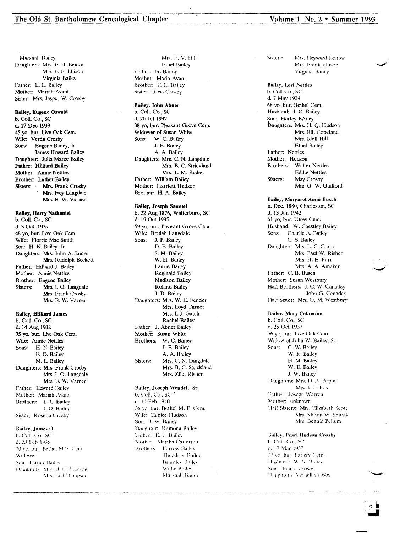Marshall Bailey Daughters: Mrs. E. H. Benton Mrs. E. F. Ellison Virginia Bailey Father: E. L. Bailey Mother: Mariah Avant Sister: Mrs. Jasper W. Crosby

#### **Bailey, Eugene Oswald**

b. Coll. Co., SC d. 17 Dec 1939 45 yo, bur. Live Oak Cem. Wife: Verda Crosby Eugene Bailey, Jr. Sons: James Howard Bailey Daughter: Julia Maree Bailey Father: Hilliard Bailey Mother: Annie Nettles Brother: Luther Bailey Mrs. Frank Crosby Sisters: Mrs. Ivey Langdale Mrs. B. W. Varner

#### **Bailey, Harry Nathaniel**

b. Coll. Co., SC d. 3 Oct. 1939 48 yo, bur. Live Oak Cem. Wife: Florrie Mae Smith Son: H. N. Bailey, Jr. Daughters: Mrs. John A. James Mrs. Rudolph Beckett Father: Hilliard J. Bailey Mother: Annie Nettles Brother: Eugene Bailey Mrs. I. O. Langdale Sisters: Mrs. Frank Crosby Mrs. B. W. Varner

## **Bailey, Hilliard James**

b. Coll. Co., SC d. 14 Aug 1932 75 yo, bur. Live Oak Cem. Wife: Annie Nettles Sons: H. N. Bailey E. O. Bailey M. L. Bailey Daughters: Mrs. Frank Crosby Mrs. I. O. Langdale Mrs. B. W. Varner Father: Edward Bailey Mother: Mariah Avant Brothers: E. L. Bailey J. O. Bailey Sister: Rosetta Crosby

#### Bailey, James O.

b. Coll. Co., SC d. 23 Feb 1936 70 yo, bur. Bethel M.F. Cem-Widower Son: Harley Bailey Daughters, Mis. H. O. Hudson Mis. Bell Dempsey

Mrs. E. V. Hill Ethel Bailey Father: Ed Bailey Mother: Maria Avant Brother: E. L. Bailey Sister: Rosa Crosby

Bailey, John Abner b. Coll. Co., SC d. 20 Jul 1937 88 yo, bur. Pleasant Grove Cem. Widower of Susan White Sons: W. C. Bailey J. E. Bailey A. A. Bailey Daughters: Mrs. C. N. Langdale Mrs. B. C. Strickland Mrs. L. M. Risher Father: William Bailey Mother: Harriett Hudson Brother: H. A. Bailey

## **Bailey, Joseph Samuel**

b. 22 Aug 1876, Walterboro, SC d. 19 Oct 1935 59 yo, bur. Pleasant Grove Cem. Wife: Beulah Langdale Sons: J. P. Bailey D. E. Bailey S. M. Bailey W. H. Bailey Laurie Bailey Reginald Bailey Madison Bailey **Roland Bailey** J. D. Bailey Daughters: Mrs. W. E. Fender Mrs. Loyd Turner Mrs. I. J. Gatch Rachel Bailey Father: J. Abner Bailey Mother: Susan White Brothers: W. C. Bailey J. E. Bailey A. A. Bailey Mrs. C. N. Langdale Sisters: Mrs. B. C. Strickland Mrs. Zilla Risher

Bailey, Joseph Wendell, Sr. b. Coll. Co., SC d. 10 Feb 1940 38 yo, bur. Bethel M. E. Cem. Wife: Eunice Hudson Son: J. W. Bailey Daughter: Ramona Bailey Father: E. L. Bailey Mother: Martha Catterton **Brothers:** Farrow Bailey Theodore Bailey **Brantley Bailey** Wilhe Bailey Marshall Badey

Mrs. Heyward Benton **Sisters:** Mrs. Frank Ellison Virginia Bailey

**Bailey**, Lori Nettles b. Coll Co., SC d. 7 May 1934 68 yo, bur. Bethel Cem. Husband: J. O. Bailey Son: Harley BAiley Daughters: Mrs. H. Q. Hudson Mrs. Bill Copeland Mrs. Idell Hill Ethel Bailey Father: Nettles Mother: Hudson Brothers: Walter Nettles **Eddie Nettles** Sisters: May Crosby Mrs. G. W. Guilford

**Bailey, Margaret Anna Busch** b. Dec. 1880, Charleston, SC d. 13 Jan 1942 61 yo, bur. Utsey Cem. Husband: W. Chestley Bailey Sons: Charlie A. Bailey C. B. Bailey Daughters: Mrs. L. C. Crura Mrs. Paul W. Risher Mrs. H. E. Furr Mrs. A. A. Amaker Father: C. B. Busch Mother: Susan Westbury Half Brothers: J. C. W. Canaday John G. Canaday Half Sister: Mrs. O. M. Westbury

**Bailey, Mary Catherine** b. Coll. Co., SC d. 25 Oct 1937 76 yo, bur. Live Oak Cem. Widow of John W. Bailey, Sr. Sons: C. W. Bailey W. K. Bailey H. M. Bailey W. E. Bailey J. W. Bailey Daughters: Mrs. D. A. Poplin Mrs. J. L. Fox Father: Joseph Warren Mother: unknown Half Sisters: Mrs. Elizabeth Scott Mrs. Milton W. Smoak Mrs. Bennie Pellum

**Bailey, Pearl Hudson Crosby** b. Coll. Co., SC d. 17 Mar 1937 27 yo, bur. Larisey Cem. Husband: W. K. Bailey Son: Junior Crosby Daughters: Vernell Crosby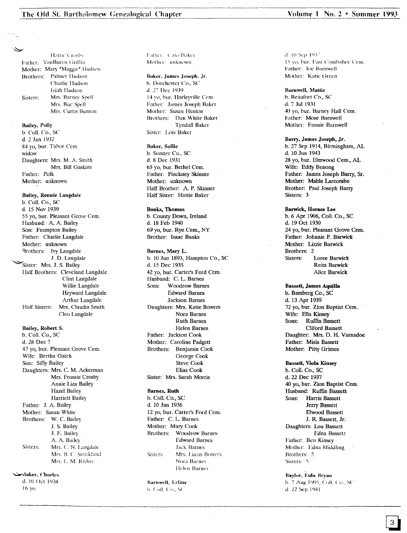## The Old St. Bartholomew Genealogical Chapter

Hattie Crosby Father: VanBuren Griffin Mother: Mary "Maggie" Hudson Brothers; Palmer Hudson Charlie Hudson Isiah Hudson Mrs. Barney Spell Sisters: Mrs. Bue Spell Mrs. Curtis Bunton

#### **Bailey**, Polly

b. Coll. Co., SC d. 2 Jan 1932 84 vo. bur. Tabor Cem. widow Daughters: Mrs. M. A. Smith Mrs. Bill Gaskins Father: Polk Mother: unknown

#### Bailey, Rennie Langdale

b. Coll. Co., SC d. 15 Nov 1939 55 yo, bur. Pleasant Grove Cem. Husband: A. A. Bailey Son: Frampton Bailey Father: Charlie Langdale Mother: unknown Brothers: Ivy Langdale J. D. Langdale Sister: Mrs. J. S. Bailey Half Brothers: Cleveland Langdale Clint Langdale Willie Langdale Heyward Langdale Arthur Langdale Mrs. Claudia Smith Half Sisters: Cleo Langdale

## Bailey, Robert S.

b. Coll. Co., SC d. 28 Dec ? 47 vo. bur. Pleasant Grove Cem. Wife: Bertha Gatch Son: Sifly Bailey Daughters: Mrs. C. M. Ackerman Mrs. Frossie Crosby Annie Liza Bailey **Hazel Bailey Harriett Bailey** Father: J. A. Bailey Mother: Susan White Brothers: W. C. Bailey J. S. Bailey J. E. Bailey A. A. Bailey Mrs. C. N. Langdale Sisters: Mrs. B. C. Strickland Mrs. L. M. Risher

#### Baker, Charlesشڪ

d. 10 Oct 1938  $16$  yo

Inther: Cato Baker Mother: unknown

#### Baker, James Joseph, Jr.

b. Dorchester Co.; SC d. 27 Dec 1939. 14 vo, bur. Harleyville Cem. Father: James Joseph Baker Mother: Susan Heaton Brothers: Dan White Baker Tyndall Baker Sister: Lois Baker

#### **Baker**, Sollie

b. Sumter Co., SC d. 8 Dec 1931 65 yo, bur. Bethel Cem. Father: Pinckney Skinner Mother: unknown Half Brother: A. P. Skinner Half Sister: Hattie Baker

#### **Banks, Thomas**

b. County Down, Ireland d. 18 Feb 1940 69 yo, bur. Rye Cem., NY Brother: Isaac Banks

#### Barnes, Mary L.

b. 10 Jun 1893, Hampton Co., SC d. 15 Dec 1935 42 vo, bur. Carter's Ford Cem. Husband: C. L. Barnes Woodrow Barnes Sons: **Edward Barnes** Jackson Barnes Daughters: Mrs. Katie Bowers Nora Barnes **Ruth Barnes** Helen Barnes Father: Jackson Cook Mother: Caroline Padgett Brothers: Benjamin Cook George Cook **Steve Cook** Elias Cook Sister: Mrs. Sarah Morris

#### **Barnes**, Ruth

b. Coll. Co., SC d. 10 Jan 1936 12 yo, bur. Carter's Ford Cem. Father: C. L. Barnes Mother: Mary Cook Brothers: Woodrow Barnes **Edward Barnes Tack Rarnes** Mrs. Lucas Bowers Sisters: Nora Barnes Helen Barnes

#### Barnwell, Erline

b. Coll. Co., SC

d. 10 Sep 1937 15 vo, bur. Fast Combahee Cem. Father: Joe Barnwell Mother: Katie Green

## **Barnwell**, Mattic

b. Beaufort Co., SC d. 7 Jul 1931 43 yo, bur. Barney Hall Cem. Father: Mose Barnwell Mother: Fannie Barnwell

#### Barry, James Joseph, Jr.

b. 27 Sep 1914, Birmingham, AL d. 10 Jun 1943 28 yo, bur. Elmwood Cem., AL Wife: Eddy Benong Father: James Joseph Barry, Sr. Mother: Mable Larcombe Brother: Paul Joseph Barry Sisters: 3

## Barwick, Horace Lee

b. 6 Apr 1906, Coll. Co., SC d. 19 Oct 1930 24 yo, bur. Pleasant Grove Cem. Father: Johnnie P. Barwick Mother: Lizzie Barwick Brothers: 2 Loree Barwick Sisters: Reita Barwick Alice Barwick

#### **Bassett, James Aquilla**

b. Bamberg Co., SC d. 13 Apr 1939 72 yo, bur. Zion Baptist Cem. Wife: Ella Kinsey Sons: Ruffin Bassett Cliford Bassett Daughter: Mrs. D. H. Varnadoe Father: Misla Bassett Mother: Pitty Grimes

## **Bassett, Viola Kinsey** b. Coll. Co., SC

d. 22 Dec 1937 40 yo, bur. Zion Baptist Cem. Husband: Ruffin Bassett Sons: Harris Bassett Jerry Bassett Elwood Bassett J. R. Bassett, Jr. Daughters: Lou Bassett Edna Bassett Father: Ben Kinsey Mother: Edna Middling Brothers: 5 Sisters: 5

#### **Baylor**, Eula Bryan b. 7 Aug 1905, Coll. Co., SC d. 22 Sep 1941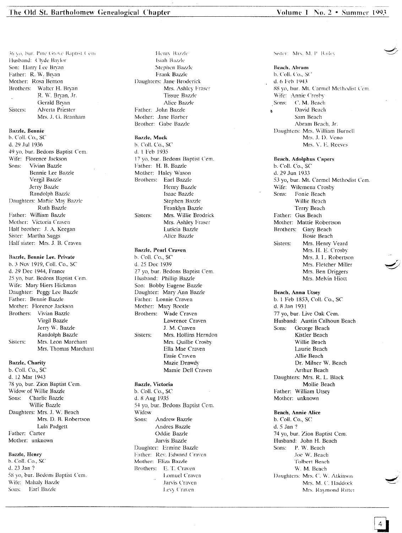36 yo, bur. Pine Grove Baptist Cem-Husband: Clyde Baylor Son: Harry Lee Brvan Father: R. W. Bryan Mother: Rosa Benton Brothers: Walter H. Bryan R. W. Bryan, Jr. Gerald Bryan Sisters: Alverta Priester Mrs. J. G. Branham

#### Bazzle. Bennie

b. Coil. Co., SC d. 29 Jul 1936 49 yo, bur. Bedons Baptist Cem. \Vife: Florence .Jackson Sons: Vivian Bazzle Bennie Lee Bazzle Vergil Bazzle Jerry Bazzle Randolph Bazzle Daughters: Maftie May Bazzle Ruth Bazzle Father: William Bazzle Mother: Victoria Craven Half brother: J. A. Keegan Sister: Martha Suggs Half sister: Mrs. J. B. Craven

#### Bazzle. Bennie Lee. Privale

b. 3 Nov 1919, Coll. Co., SC d. 29 Dee 1944, France 25 yo, bur. Bedons Baptist Cem. Wife: Mary Hiers Hickman Daughter: Peggy Lee Bazzle Father: Bennie Bazzle Mother: Florence Jackson Brothers: Vivian Bazzle Virgil Bazzle Jerry W. Bazzle Randolph Bazzle Sisters: Mrs. Leon Marchant Mrs. Thomas Marchant

#### Bazzle, Charity

b. CoIl. Co., SC d. 12 Mar 1943 78 yo, bur. Zion Baptist Cem. Widow of Wi1lie Bazzle Sons: Charlie Bazzle Willie Bazzle Daughters: Mrs. J. W. Beach Mrs. D. B. Robertson Lula Padgett Father: Carter Mother: unknown

#### Bazzle, Henry

b. ColI. Co., *SC* d. 23 Jan '? 5S yo, bur. Bedons Baptist ('em. Wife: Mahaly Bazzle Sons: Earl Bazzle

Isiah Bazzle Stephcn BaZIk Frank Bazzle Daughters: Jane Broderick Mrs. Ashley Fraser **Tissue Bazzle** Alice Bazzle Father: John Bazzle Mother: Jane Barber Brother: Gabe Bazzle

Henry Bazzle

#### Bazzle, Mack

h. Coil. Co., SC d. 1 Feb 1935 17 yo, bur. Bedons Baptist Cem. Father: H. B. Bazzle Mother: Haley Wason Brothers: Earl Bazzle Henry Bazzle Isaac Bazzle Stephen Bazzle Franklyn *Bazzle* Sisters: Mrs. Willie Brodriek Mrs. Ashley Fraser Luticia Bazzle Aliee Bazzle

## Bazzle, Pearl Craven

b. Coil. Co., SC J. 25 Dee 1939 *n* yo, bur. Bedons Baptist Cem. Husband: Phillip Bazzle Son: Bobby Eugene Bazzle Daughter: Mary Ann Bazzle Father: Lonnie Craven Mother: Mary Bootle Brothers: Wade Craven Lawrence Craven J. M. Craven Sisters: Mrs. Hollins Herndon Mrs. Quillie Crosby Ella Mae Craven Essie Craven Mazie Drawdv Mamie Dell Craven

#### Bazzle, Victoria

b. Coil. Co., SC d. 8 Aug 1935 54 yo, bur. Bedons Baptist Cern. Widow Sons: Andrew Bazzle Andres Bazzle Oddie Bazzle Jarvis Bazzle Duughter: Ermine Bazzle Father: Rev. Edward Craven Mother: Eliza Bazzle Brothers: E. T. Craven Lomucl Craven Jarvis ('raven Levy Craven

Sister: Mrs. M. P. Bailey

#### Beach, Abram b. Coll. Co., SC d. *h* Feb 1943 88 yo, bur. Mt. Carmel Methodist Cem. Wife: Annie Crosby Sons: C. M. Beach David Beach  $\mathbf{A}$ Sam Beach Abram Beach, Jr. Daughters: Mrs. William Burnell Mrs. J. D. Veno Mrs. \'. E. Reeves

## Beach, Adolphus Capers

b. Call. Co., SC d. 2<) Jun 1933 53 yo, bur. Mt. Carmel Methodist Cem. Wife: Wilemena Crosby Sons: Fonie Beach Willie Beach Terry Beach Father: Gus Beaeh Mother: Mattie Robertson Brothers: Gary Beach Bosie Beach Sisters: Mrs. Henry Veard Mrs. H. E. Crosby Mrs. J. L. Robertson Mrs. Fletcher Miller Mrs. Ben Driggers Mrs. Melvin Hiott

Beach, Anna Utsey b. 1 Feb 1853, Coil. Co., SC d. 8.Tan 1931 77 yo, bur. Live Oak Cem. Husband: Austin Calhoun Beach Sons: George Beach Kistler Beach Willie Beach Laurie Beach Allie Beach Dr. Milner W. Beach Arthur Beach Daughters: Mrs. R, L. Black Mollie Beach Father: William Utsey Mother: unknown

### Beach, Annie Alice

b. Coil. Co., SC d. 5 Jan ? 74 yo, bur. Zion Baptist Ccm. Husband: John H. Beach Sons: P. W. Beach Joe W. Beach Tolbert Reach W. M. Beaeh Daughters: Mrs. C. W. Atkinson Mrs. M. C. Haddock Mrs. Raymond Ritter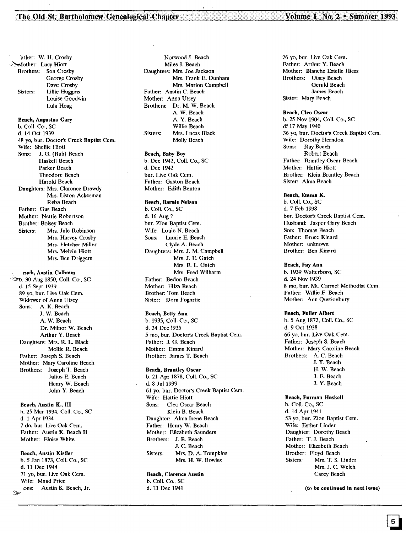The Old St. Bartholomew Genealogical Chapter Volume 1 No. 2 · Summer 1993

'ather: W. H. Crosby ,~other: Lucy Hiott Brothers: Son Crosby George Crosby Dave Crosby Sisters: Lillie Huggins Louise Goodwin Lula Haag Beach, Augustus Gary b. Call. Co., SC d. 14 Oct 1939 48 yo, bur. Doctor's Creek Baptist Cern. Wife: Shellie Hiott Sons: J. G. (Bub) Beach Haskell Beach Parker Beach Theodore Beach Harold Beach Daughters: Mrs. Clarence Drawdy Mrs. Liston Ackerman Reba Beach Father: Gus Beach Mother: Nettie Robertson Brother: Boisey Beach Sisters: Mrs. Jule Robinson Mrs. Harvey Crosby Mrs. Fletcher Miller Mrs, Melvin Hiott Mrs. Ben Driggers each, Austin Calhoun ~. 30 Aug 1850, Coli. Co., SC d, 15 Sept 1939 89 yo, bur. Live Oak Cern. Widower of Anna Utsey Sons: A. K. Beach J. W. Beach A. W. Beach Dr. Milnor W. Beach Arthur Y. Beach Daughters: Mrs. R. L Black Mollie R. Beach Father: Joseph S. Beach Mother: Mary Caroline Beach Brothers: Joseph T. Beach .Julius E. Beach Henry W. Beach John Y. Beach Beach, Austin K., III b. 25 Mar 1934, Coli. Co., SC d. 1 Apr 1934 7 do, bur. Live Oak Cern. Father: Austin K. Beach II Mother: Eloise White Beach, Austin Kistler b. 5 Jan 1873, Coll. Co., SC d. 11 Dec 1944 71 yo, bur. Live Oak Cem. Wife: Maud Price ;ons: Austin K. Beach, Jr. ~

Norwood J. Beach Miles J. Beach Daughters: Mrs. Joe Jackson Mrs. Frank E. Dunham Mrs. Marion Campbell Fatber: Austin C. Bcach Mother: Anna Utsey Brothers: Dr. M, W. Beach A. W. Beach A. Y. Beach Willie Beach Sisters: Mrs. Lucas Black Molly Bcach

#### Beach, Baby Boy

b. Dec 1942, Coli. Co., SC d.Dec 1942 bur. Live Oak Cem. Father: Gaston Beach Mother: Edith Benton

#### Beach, Bamie Nelson

b. Coli. Co., SC d. 16 Aug? bur. Zion Baptist Cem. Wife: Louie N. Beach Sons: Laurie E. Beach Clyde A. Beach Daughters: Mrs. J. M. Campbell Mrs. J. E. Gatch Mrs. E. L. Gatch Mrs. Fred Wilharm Father: Bedon Beach Mother: Eliza Beach Brother: Tom Beach Sister: Dora Fognrtie

## Beach, Betty Ann

b. 1935, Coil. Co., SC d. 24 Dec !935 5 mo, bur. Doctor's Creek Baptist Cern. Father: J. G. Beach Mother: Emma Kinard Brothcr: James T. Beach

#### Beach, Brantley Oscar

b. 21 Apr 1878, Coll. Co., SC d. 8 Jul 1939 61 yo, bur. Doctor's Creek Baptist Cern. Wife: Hattie Hiott Sons: Cleo Oscar Beach Klein B. Beach Daughter: Alma Irene Beach Father: Henry W. Bcach Mother: Elizabeth Saunders Brothers: J. B. Beach J. C. Beach Sisters: Mrs. D. A. Tompkins Mrs. H. W. Bowles

#### Beach, Clarence Austin

b. Coli. Co., SC d. 13 Dec 1941

26 yo, bur. Live Oak Cern. Father: Arthur Y. Beach Mother: Blanche Estelle Hiers Brothers: Utsey Beach Gerald Beach Jamcs Bcacb Sister: Mary Beach

#### Beach, Cleo Oscar

b.25 Nov 1904, Coli. Co., SC d<sup>\*</sup> 17 May 1940 36 yo, bur. Doctor's Creek Baptist Cern. Wife: Dorothy Hcrndon Sons: Ray Beach Robert Beach Father: Brantley Oscar Beach Mother: Hattie Hiott Brother: Klein Brantley Beach Sister: Alma Beach

#### Beach, Emma K.

b. Call. Co., SC d. 7 Feb 1938 bur. Doctor's Creek Baptist Cem. Husband: Jasper Gary Beach Son: Thomas Beach Father: Bruce Kinard Mother: unknown Brother: Ben Kinard

#### Beach, Fay Ann

b. 1939 Walterboro, SC d. 24 Nov 1939 8 mo, bur. Mt. Carmel Methodist Cem. Father: Willie F. Beach Mother: Ann Qustionbury

#### Beach, Fuller Albert

b. 5 Aug 1872, Call. Co., SC d. 9 Oct 1938 66 yo, bur. Live Oak Cern. Father: Joseph S. Beach Mother: Mary Caroline Beach Brothers: A. C. Beach J. T. Beach H. W. Beach J. E. Beach J. Y. Beach

#### Beach, Furman Haskell

b. Coli. Co., SC d. 14 Apr 1941 53 yo, bur. Zion Baptist Cem. Wife: Esther Linder Daughter: Dorothy Beach Father: T. J. Beach Mother: Elizabeth Beach Brother: Floyd Beach<br>Sisters: Mrs. T. S. Mrs. T. S. Linder Mrs. J. C. Welch Carey Beach

(to be continued in next issue)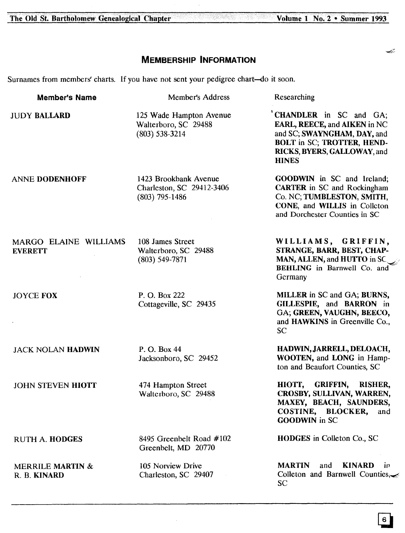The Old St. Bartholomew Genealogical Chapter

# **MEMBERSHIP INFORMATION**

Surnames from members' charts. If you have not sent your pedigree chart-do it soon.

| <b>Member's Name</b>                        | Member's Address                                                       | Researching                                                                                                                                                               |
|---------------------------------------------|------------------------------------------------------------------------|---------------------------------------------------------------------------------------------------------------------------------------------------------------------------|
| <b>JUDY BALLARD</b>                         | 125 Wade Hampton Avenue<br>Walterboro, SC 29488<br>$(803)$ 538-3214    | CHANDLER in SC and GA;<br>EARL, REECE, and AIKEN in NC<br>and SC; SWAYNGHAM, DAY, and<br><b>BOLT</b> in SC; TROTTER, HEND-<br>RICKS, BYERS, GALLOWAY, and<br><b>HINES</b> |
| <b>ANNE DODENHOFF</b>                       | 1423 Brookbank Avenue<br>Charleston, SC 29412-3406<br>$(803)$ 795-1486 | <b>GOODWIN</b> in SC and Ireland;<br><b>CARTER</b> in SC and Rockingham<br>Co. NC; TUMBLESTON, SMITH,<br>CONE, and WILLIS in Colleton<br>and Dorchester Counties in SC    |
| MARGO ELAINE WILLIAMS<br><b>EVERETT</b>     | 108 James Street<br>Walterboro, SC 29488<br>$(803) 549 - 7871$         | WILLIAMS, GRIFFIN,<br>STRANGE, BARR, BEST, CHAP-<br>MAN, ALLEN, and HUTTO in SC<br><b>BEHLING</b> in Barnwell Co. and<br>Germany                                          |
| <b>JOYCE FOX</b>                            | P. O. Box 222<br>Cottageville, SC 29435                                | MILLER in SC and GA; BURNS,<br>GILLESPIE, and BARRON in<br>GA; GREEN, VAUGHN, BEECO,<br>and HAWKINS in Greenville Co.,<br>SC                                              |
| <b>JACK NOLAN HADWIN</b>                    | P. O. Box 44<br>Jacksonboro, SC 29452                                  | HADWIN, JARRELL, DELOACH,<br>WOOTEN, and LONG in Hamp-<br>ton and Beaufort Counties, SC                                                                                   |
| <b>JOHN STEVEN HIOTT</b>                    | 474 Hampton Street<br>Walterboro, SC 29488                             | <b>GRIFFIN,</b><br>HIOTT,<br><b>RISHER,</b><br>CROSBY, SULLIVAN, WARREN,<br>MAXEY, BEACH, SAUNDERS,<br>COSTINE, BLOCKER,<br>and<br><b>GOODWIN</b> in SC                   |
| <b>RUTH A. HODGES</b>                       | 8495 Greenbelt Road #102<br>Greenbelt, MD 20770                        | <b>HODGES</b> in Colleton Co., SC                                                                                                                                         |
| <b>MERRILE MARTIN &amp;</b><br>R. B. KINARD | 105 Norview Drive<br>Charleston, SC 29407                              | <b>MARTIN</b><br><b>KINARD</b><br>and<br>1 <sub>p</sub><br>Colleton and Barnwell Counties,<br>SC <sub>1</sub>                                                             |

# Volume 1 No. 2 . Summer 1993

Ł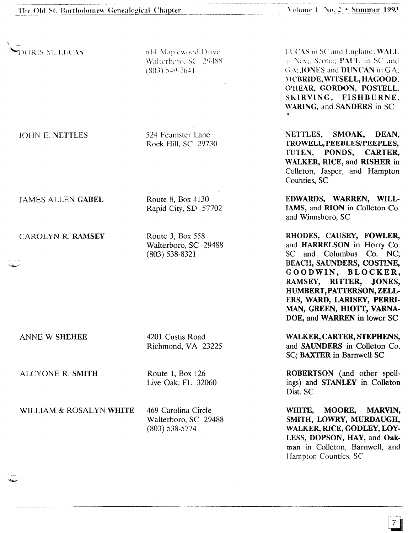DORIS M. LUCAS

614 Maplewood Drive Walterboro, SC 29488  $(803)$  549-7641

524 Feamster Lane Rock Hill, SC 29730

**JAMES ALLEN GABEL** 

**JOHN E. NETTLES** 

CAROLYN R. RAMSEY

Route 3, Box 558 Walterboro, SC 29488  $(803)$  538-8321

Rapid City, SD 57702

Route 8, Box 4130

ANNE W SHEHEE

4201 Custis Road Richmond, VA 23225

ALCYONE R. SMITH

Route 1, Box 126 Live Oak, FL 32060

WILLIAM & ROSALYN WHITE

469 Carolina Circle Walterboro, SC 29488  $(803)$  538-5774

**LUCAS** in SC and England; **WALL** in Nova Scotia: PAUL in SC and GA; JONES and DUNCAN in GA; MCBRIDE, WITSELL, HAGOOD. O'HEAR, GORDON, POSTELL, SKIRVING. FISHBURNE. WARING, and SANDERS in SC

NETTLES, SMOAK, DEAN. TROWELL, PEEBLES/PEEPLES. TUTEN, PONDS, CARTER, WALKER, RICE, and RISHER in Colleton, Jasper, and Hampton Counties, SC

EDWARDS, WARREN, WILL-IAMS, and RION in Colleton Co. and Winnsboro, SC

RHODES, CAUSEY, FOWLER, and HARRELSON in Horry Co. SC and Columbus Co. NC; BEACH, SAUNDERS, COSTINE, GOODWIN, BLOCKER, RAMSEY, RITTER, JONES. HUMBERT, PATTERSON, ZELL-ERS, WARD, LARISEY, PERRI-MAN, GREEN, HIOTT, VARNA-DOE, and WARREN in lower SC

WALKER, CARTER, STEPHENS, and SAUNDERS in Colleton Co. SC; BAXTER in Barnwell SC

ROBERTSON (and other spellings) and STANLEY in Colleton Dist. SC

WHITE. **MOORE,** MARVIN, SMITH, LOWRY, MURDAUGH. WALKER, RICE, GODLEY, LOY-LESS, DOPSON, HAY, and Oakman in Colleton, Barnwell, and Hampton Counties, SC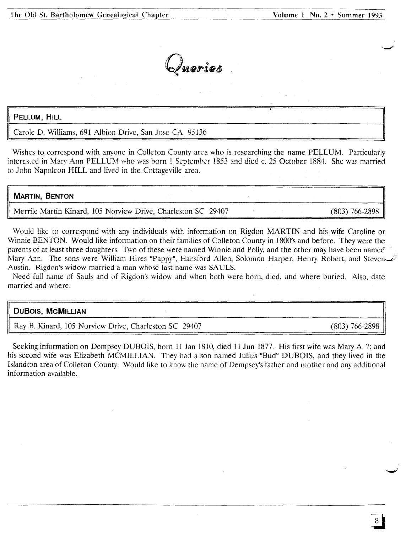Queries

## PELLUM, HILL

II

Carole D. Williams, 691 Albion Drive, San Jose CA 95136

Wishes to correspond with anyone in Colleton County area who is researching the name PELLUM. Particularly interested in Mary Ann PELLUM who was born 1 September 1853 and died c. 25 October 1884. She was married to John Napoleon HILL and lived in the Cottageville area.

# **MARTIN, SENTON** Merrile Martin Kinard, 105 Norview Drive, Charleston SC 29407 (803) 766-2898

Would like to correspond with any individuals with information on Rigdon MARTIN and his wife Caroline or Winnie BENTON. Would like information on their families of Colleton County in 1800's and before. They were the parents of at least three daughters. Two of these were named Winnie and Polly, and the other may have been named Mary Ann. The sons were William Hires "Pappy", Hansford Allen, Solomon Harper, Henry Robert, and Steven Austin. Rigdon's widow married a man whose last name was SAULS.

Need full name of Sauls and of Rigdon's widow and when both were born, died, and where buried. Also, date married and where.

| <b>DUBOIS, MCMILLIAN</b>                              |                  |
|-------------------------------------------------------|------------------|
| Ray B. Kinard, 105 Norview Drive, Charleston SC 29407 | $(803)$ 766-2898 |

Seeking information on Dempsey DUBOIS, born 11 Jan 1810, died 11 Jun 1877. His first wife was Mary A. ?; and his second wife was Elizabeth MCMILLIAN. They had a son named Julius "Bud" DUBOIS, and they lived in the Islandton area of Colleton County. Would like to know the name of Dempsey's father and mother and any additional information available.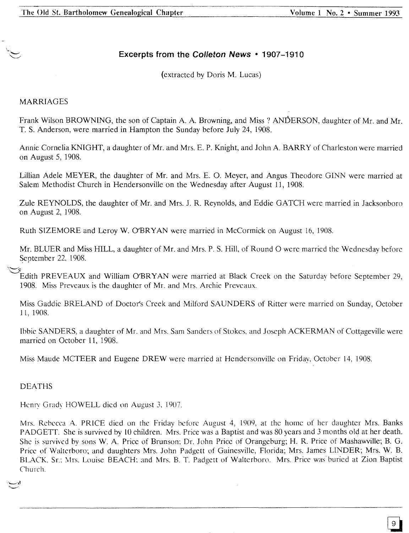# **Excerpts from the Colleton News • 1907-1910**

(extracted by Doris M. Lucas)

# MARRIAGES

Frank Wilson BROWNING, the son of Captain A. A. Browning, and Miss? ANDERSON, daughter of Mr. and Mr. T. S. Anderson, were married in Hampton the Sunday before July 24, 1908.

Annie Cornelia KNIGHT, a daughter of Mr. and Mrs. E. P. Knight, and John A. BARRY of Charleston were married on August 5, 1908.

Lillian Adele MEYER, the daughter of Mr. and Mrs. E. O. Meyer, and Angus Theodore GINN were married at Salem Methodist Church in Hendersonville on the Wednesday after August 11, 1908.

Zule REYNOLDS, the daughter of Mr. and Mrs. J. R. Reynolds, and Eddie GATCH were married in Jacksonboro on August 2, 1908.

Ruth SIZEMORE and Leroy W. O'BRYAN were married in McCormick on August 16, 1908.

Mr. BLUER and Miss HILL, a daughter of Mr. and Mrs. P. S. Hill, of Round 0 wcre married the Wednesday before September 22, 1908.

Edith PREVEAUX and William O'BRYAN were married at Black Creek on the Saturday before September 29, 1908. Miss Prevcaux is the daughter of Mr. and Mrs. Archie Preveaux.

Miss Gaddie BRELAND of Doctor's Creek and Milford SAUNDERS of Ritter were married on Sunday, October 11,1908.

Ibbie SANDERS, a daughter of Mr. and Mrs. Sam Sanders of Stokes, and Joseph ACKERMAN of Cottageville were married on October 11, 1908.

Miss Maude MCTEER and Eugene DREW were married at Hendersonville on Friday, October 14, 1908.

DEATHS

Henry Grady HOWELL dicd on August 3. 1907.

Mrs. Rebecca A. PRICE died on the Friday before August 4, 1909, at the home of her daughter Mrs. Banks PADGETT. She is survived by 10 children. Mrs. Price was a Baptist and was 80 years and 3 months old at her death. She is survived by sons W. A Price of Brunson: Dr. John Price of Orangeburg; H. R. Price of Mashawville; B. G. Price of Walterboro; and daughters Mrs. John Padgett of Gainesville, Florida; Mrs. James LINDER; Mrs. W. B. BLACK, Sr.: Mrs. Louise BEACH; and Mrs. B. T. Padgett of Walterboro. Mrs. Price was buried at Zion Baptist Church.